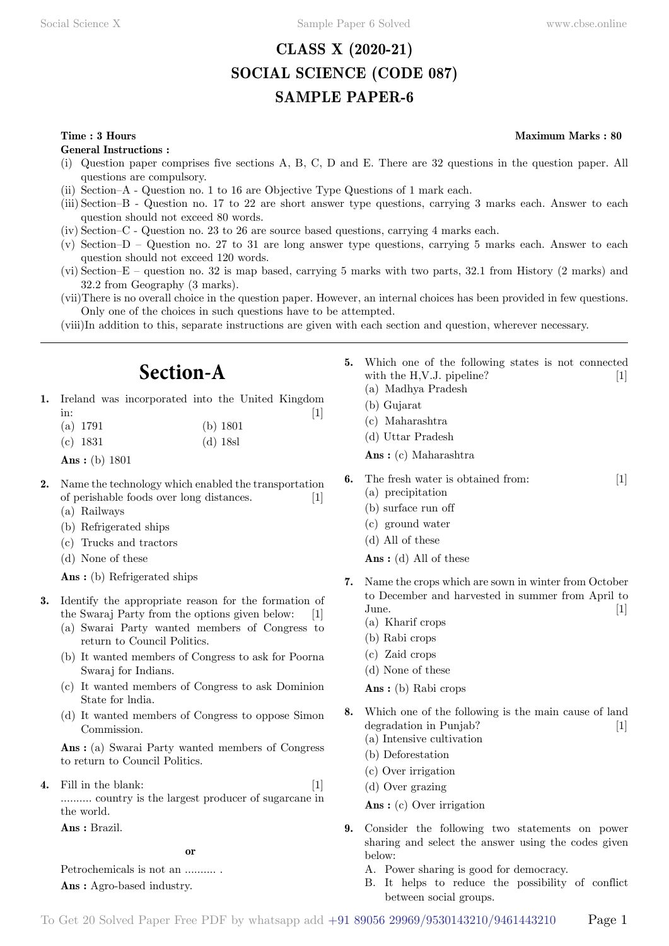# **CLASS X (2020-21) SOCIAL SCIENCE (CODE 087) SAMPLE PAPER-6**

**General Instructions :**

- (i) Question paper comprises five sections A, B, C, D and E. There are 32 questions in the question paper. All questions are compulsory.
- (ii) Section–A Question no. 1 to 16 are Objective Type Questions of 1 mark each.
- (iii) Section–B Question no. 17 to 22 are short answer type questions, carrying 3 marks each. Answer to each question should not exceed 80 words.
- (iv) Section–C Question no. 23 to 26 are source based questions, carrying 4 marks each.
- (v) Section–D Question no. 27 to 31 are long answer type questions, carrying 5 marks each. Answer to each question should not exceed 120 words.
- (vi) Section–E question no. 32 is map based, carrying 5 marks with two parts, 32.1 from History (2 marks) and 32.2 from Geography (3 marks).
- (vii)There is no overall choice in the question paper. However, an internal choices has been provided in few questions. Only one of the choices in such questions have to be attempted.
- (viii)In addition to this, separate instructions are given with each section and question, wherever necessary.

# **Section-A**

- **1.** Ireland was incorporated into the United Kingdom in:  $[1]$ 
	- (a) 1791 (b) 1801
	- (c) 1831 (d) 18sl
	- **Ans :** (b) 1801
- **2.** Name the technology which enabled the transportation of perishable foods over long distances. [1] (a) Railways
	- (b) Refrigerated ships
	- (c) Trucks and tractors
	- (d) None of these

 **Ans :** (b) Refrigerated ships

- **3.** Identify the appropriate reason for the formation of the Swaraj Party from the options given below: [1]
	- (a) Swarai Party wanted members of Congress to return to Council Politics.
	- (b) It wanted members of Congress to ask for Poorna Swaraj for Indians.
	- (c) It wanted members of Congress to ask Dominion State for lndia.
	- (d) It wanted members of Congress to oppose Simon Commission.

 **Ans :** (a) Swarai Party wanted members of Congress to return to Council Politics.

Fill in the blank: [1] .......... country is the largest producer of sugarcane in the world.

 **Ans :** Brazil.

#### **o**

Petrochemicals is not an .......... .  **Ans :** Agro-based industry.

- **5.** Which one of the following states is not connected with the H,V.J. pipeline?  $[1]$ (a) Madhya Pradesh
	- (b) Gujarat
	- (c) Maharashtra
	- (d) Uttar Pradesh

 **Ans :** (c) Maharashtra

- **6.** The fresh water is obtained from: [1]
	- (a) precipitation
	- (b) surface run off
	- (c) ground water
	- (d) All of these
	- **Ans :** (d) All of these
- **7.** Name the crops which are sown in winter from October to December and harvested in summer from April to  $\text{June.} \qquad \qquad \text{[1]}$ 
	- (a) Kharif crops
	- (b) Rabi crops
	- (c) Zaid crops
	- (d) None of these
	- **Ans :** (b) Rabi crops
- **8.** Which one of the following is the main cause of land degradation in Punjab? [1] (a) Intensive cultivation
	- (b) Deforestation
	- (c) Over irrigation
	-
	- (d) Over grazing
	- **Ans :** (c) Over irrigation
- **9.** Consider the following two statements on power sharing and select the answer using the codes given below:
	- A. Power sharing is good for democracy.
	- B. It helps to reduce the possibility of conflict between social groups.

# **Time : 3 Hours Maximum Marks : 80**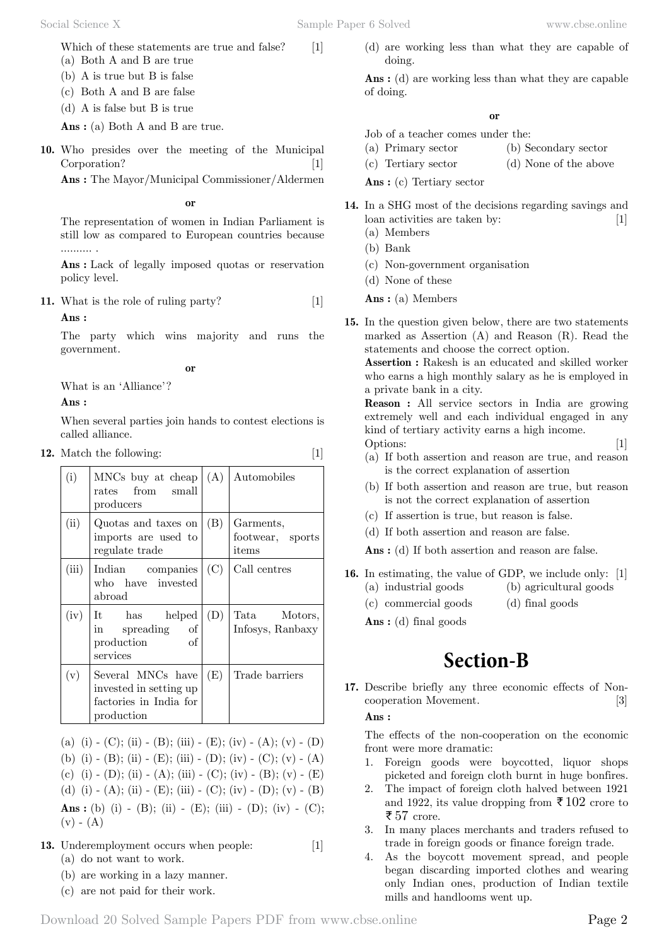Social Science X Sample Paper 6 Solved [www.cbse.online](http://www.cbse.online) 

Which of these statements are true and false? [1]

- (a) Both A and B are true
- (b) A is true but B is false
- (c) Both A and B are false
- (d) A is false but B is true

 **Ans :** (a) Both A and B are true.

**10.** Who presides over the meeting of the Municipal Corporation? [1]

 **Ans :** The Mayor/Municipal Commissioner/Aldermen

#### **o**

The representation of women in Indian Parliament is still low as compared to European countries because .......... .

 **Ans :** Lack of legally imposed quotas or reservation policy level.

**11.** What is the role of ruling party? [1]

 **Ans :**

The party which wins majority and runs the government.

 **o**

What is an 'Alliance'?

 **Ans :**

When several parties join hands to contest elections is called alliance.

**12.** Match the following:

(i) MNCs buy at cheap rates from small producers  $(A)$  Automobiles (ii) Quotas and taxes on imports are used to regulate trade (B) Garments, footwear, sports items (iii) Indian companies who have invested abroad  $(C)$  Call centres (iv) It has helped in spreading of production of services (D) Tata Motors, Infosys, Ranbaxy  $(v)$  Several MNCs have invested in setting up factories in India for production  $(E)$  Trade barriers

(a) (i) - (C); (ii) - (B); (iii) - (E); (iv) - (A); (v) - (D) (b) (i) - (B); (ii) - (E); (iii) - (D); (iv) - (C); (v) - (A) (c) (i) - (D); (ii) - (A); (iii) - (C); (iv) - (B); (v) - (E) (d) (i) - (A); (ii) - (E); (iii) - (C); (iv) - (D); (v) - (B)  **Ans :** (b) (i) - (B); (ii) - (E); (iii) - (D); (iv) - (C);  $(v) - (A)$ 

- **13.** Underemployment occurs when people: [1] (a) do not want to work.
	- (b) are working in a lazy manner.
	- (c) are not paid for their work.

(d) are working less than what they are capable of doing.

 **Ans :** (d) are working less than what they are capable of doing.

 **o**

- Job of a teacher comes under the:
- (a) Primary sector (b) Secondary sector
- (c) Tertiary sector (d) None of the above

 **Ans :** (c) Tertiary sector

- **14.** In a SHG most of the decisions regarding savings and loan activities are taken by: [1] (a) Members
	- (b) Bank
	- (c) Non-government organisation
	- (d) None of these

 **Ans :** (a) Members

**15.** In the question given below, there are two statements marked as Assertion (A) and Reason (R). Read the statements and choose the correct option.

**Assertion :** Rakesh is an educated and skilled worker who earns a high monthly salary as he is employed in a private bank in a city.

**Reason :** All service sectors in India are growing extremely well and each individual engaged in any kind of tertiary activity earns a high income. Options: [1]

- (a) If both assertion and reason are true, and reason is the correct explanation of assertion
- (b) If both assertion and reason are true, but reason is not the correct explanation of assertion
- (c) If assertion is true, but reason is false.
- (d) If both assertion and reason are false.
- **Ans :** (d) If both assertion and reason are false.
- **16.** In estimating, the value of GDP, we include only: [1] (a) industrial goods (b) agricultural goods
	- (c) commercial goods (d) final goods

 **Ans :** (d) final goods

# **Section-B**

**17.** Describe briefly any three economic effects of Noncooperation Movement. [3]

 **Ans :**

The effects of the non-cooperation on the economic front were more dramatic:

- 1. Foreign goods were boycotted, liquor shops picketed and foreign cloth burnt in huge bonfires.
- 2. The impact of foreign cloth halved between 1921 and 1922, its value dropping from  $\bar{\tau}$  102 crore to ₹57 crore.
- 3. In many places merchants and traders refused to trade in foreign goods or finance foreign trade.
- 4. As the boycott movement spread, and people began discarding imported clothes and wearing only Indian ones, production of Indian textile mills and handlooms went up.

Download 20 Solved Sample Papers PDF from [www.cbse.online](http://www.cbse.online) Page 2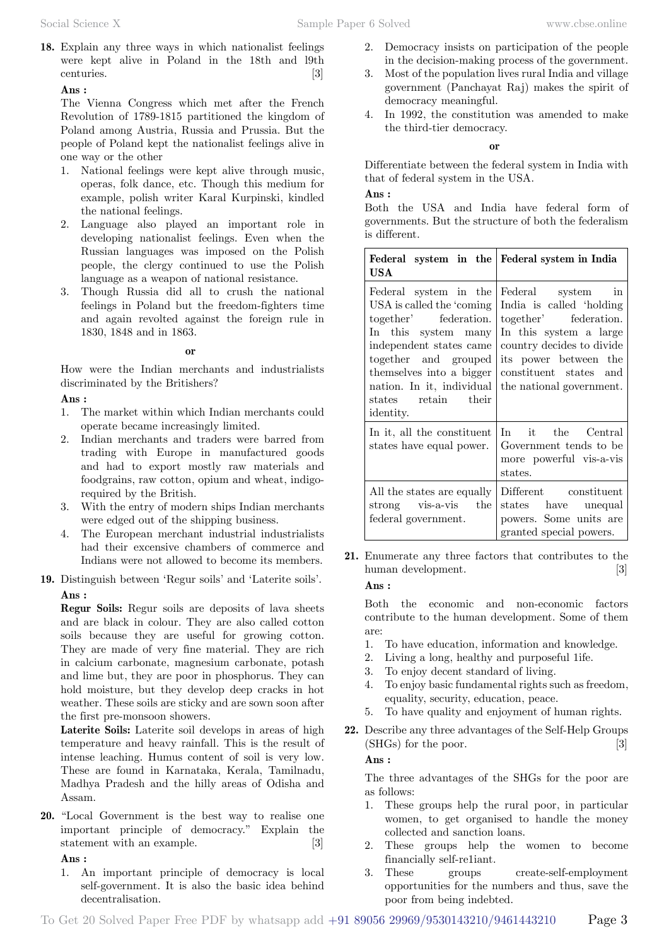**18.** Explain any three ways in which nationalist feelings were kept alive in Poland in the 18th and l9th centuries. [3]

### **Ans :**

The Vienna Congress which met after the French Revolution of 1789-1815 partitioned the kingdom of Poland among Austria, Russia and Prussia. But the people of Poland kept the nationalist feelings alive in one way or the other

- 1. National feelings were kept alive through music, operas, folk dance, etc. Though this medium for example, polish writer Karal Kurpinski, kindled the national feelings.
- 2. Language also played an important role in developing nationalist feelings. Even when the Russian languages was imposed on the Polish people, the clergy continued to use the Polish language as a weapon of national resistance.
- 3. Though Russia did all to crush the national feelings in Poland but the freedom-fighters time and again revolted against the foreign rule in 1830, 1848 and in 1863.

#### **o**

How were the Indian merchants and industrialists discriminated by the Britishers?

 **Ans :**

- 1. The market within which Indian merchants could operate became increasingly limited.
- 2. Indian merchants and traders were barred from trading with Europe in manufactured goods and had to export mostly raw materials and foodgrains, raw cotton, opium and wheat, indigorequired by the British.
- 3. With the entry of modern ships Indian merchants were edged out of the shipping business.
- 4. The European merchant industrial industrialists had their excensive chambers of commerce and Indians were not allowed to become its members.
- **19.** Distinguish between 'Regur soils' and 'Laterite soils'.  **Ans :**

**Regur Soils:** Regur soils are deposits of lava sheets and are black in colour. They are also called cotton soils because they are useful for growing cotton. They are made of very fine material. They are rich in calcium carbonate, magnesium carbonate, potash and lime but, they are poor in phosphorus. They can hold moisture, but they develop deep cracks in hot weather. These soils are sticky and are sown soon after the first pre-monsoon showers.

**Laterite Soils:** Laterite soil develops in areas of high temperature and heavy rainfall. This is the result of intense leaching. Humus content of soil is very low. These are found in Karnataka, Kerala, Tamilnadu, Madhya Pradesh and the hilly areas of Odisha and Assam.

**20.** "Local Government is the best way to realise one important principle of democracy." Explain the statement with an example. [3]

 **Ans :**

1. An important principle of democracy is local self-government. It is also the basic idea behind decentralisation.

- 2. Democracy insists on participation of the people in the decision-making process of the government.
- 3. Most of the population lives rural India and village government (Panchayat Raj) makes the spirit of democracy meaningful.
- 4. In 1992, the constitution was amended to make the third-tier democracy.

 **o**

Differentiate between the federal system in India with that of federal system in the USA.

#### **Ans :**

Both the USA and India have federal form of governments. But the structure of both the federalism is different.

| Federal system in the<br>USA                                                                                                                                                                                                                        | Federal system in India                                                                                                                                                                                      |
|-----------------------------------------------------------------------------------------------------------------------------------------------------------------------------------------------------------------------------------------------------|--------------------------------------------------------------------------------------------------------------------------------------------------------------------------------------------------------------|
| Federal system in the<br>USA is called the 'coming'<br>together' federation.<br>In this system many<br>independent states came<br>together and grouped<br>themselves into a bigger<br>nation. In it, individual<br>states retain their<br>identity. | Federal system in<br>India is called 'holding<br>together' federation.<br>In this system a large<br>country decides to divide<br>its power between the<br>constituent states and<br>the national government. |
| In it, all the constituent<br>states have equal power.                                                                                                                                                                                              | In it the Central<br>Government tends to be<br>more powerful vis-a-vis<br>states.                                                                                                                            |
| All the states are equally<br>strong vis-a-vis the<br>federal government.                                                                                                                                                                           | Different constituent<br>states have unequal<br>powers. Some units are<br>granted special powers.                                                                                                            |

**21.** Enumerate any three factors that contributes to the human development. [3]

 **Ans :**

Both the economic and non-economic factors contribute to the human development. Some of them are:

- 1. To have education, information and knowledge.
- 2. Living a long, healthy and purposeful 1ife.
- 3. To enjoy decent standard of living.
- 4. To enjoy basic fundamental rights such as freedom, equality, security, education, peace.
- 5. To have quality and enjoyment of human rights.
- **22.** Describe any three advantages of the Self-Help Groups (SHGs) for the poor. [3]

 **Ans :**

The three advantages of the SHGs for the poor are as follows:

- 1. These groups help the rural poor, in particular women, to get organised to handle the money collected and sanction loans.
- 2. These groups help the women to become financially self-re1iant.
- 3. These groups create-self-employment opportunities for the numbers and thus, save the poor from being indebted.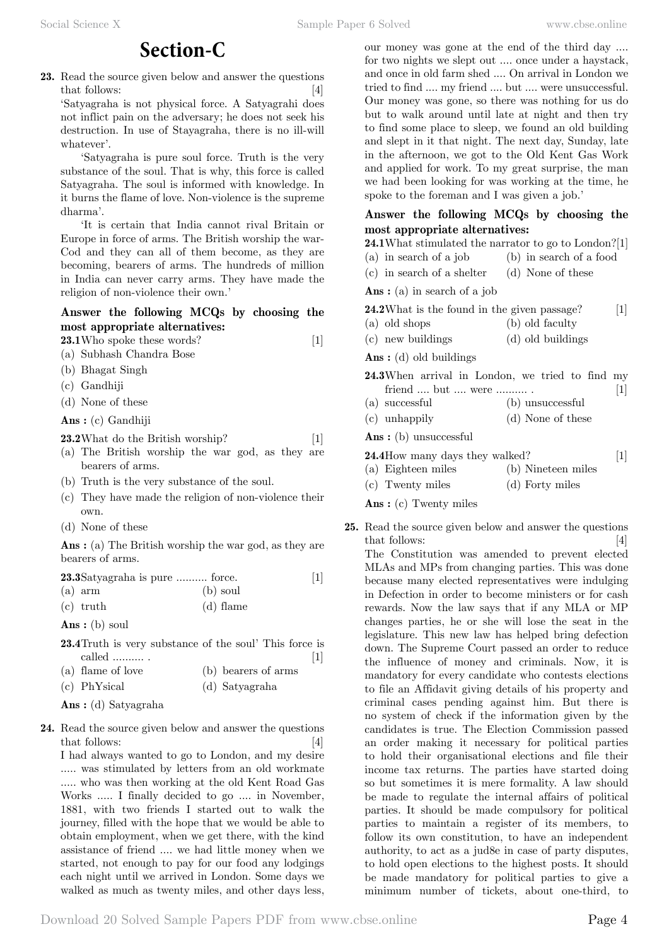# **Section-C**

**23.** Read the source given below and answer the questions that follows: [4]

'Satyagraha is not physical force. A Satyagrahi does not inflict pain on the adversary; he does not seek his destruction. In use of Stayagraha, there is no ill-will whatever'.

'Satyagraha is pure soul force. Truth is the very substance of the soul. That is why, this force is called Satyagraha. The soul is informed with knowledge. In it burns the flame of love. Non-violence is the supreme dharma'.

'It is certain that India cannot rival Britain or Europe in force of arms. The British worship the war-Cod and they can all of them become, as they are becoming, bearers of arms. The hundreds of million in India can never carry arms. They have made the religion of non-violence their own.'

## **Answer the following MCQs by choosing the most appropriate alternatives:**

**23.1**Who spoke these words? [1]

(a) Subhash Chandra Bose

- (b) Bhagat Singh
- (c) Gandhiji
- (d) None of these

 **Ans :** (c) Gandhiji

### **23.2**What do the British worship? [1]

- (a) The British worship the war god, as they are bearers of arms.
- (b) Truth is the very substance of the soul.
- (c) They have made the religion of non-violence their own.
- (d) None of these

 **Ans :** (a) The British worship the war god, as they are bearers of arms.

| 23.3 Satyagraha is pure  force. |            |  |
|---------------------------------|------------|--|
| $(a)$ arm                       | $(b)$ soul |  |
| $(c)$ truth                     | (d) flame  |  |

 **Ans :** (b) soul

**23.4**Truth is very substance of the soul' This force is  $\boxed{1}$ 

- (a) flame of love (b) bearers of arms
- (c) PhYsical (d) Satyagraha

 **Ans :** (d) Satyagraha

**24.** Read the source given below and answer the questions that follows: [4]

I had always wanted to go to London, and my desire ..... was stimulated by letters from an old workmate ..... who was then working at the old Kent Road Gas Works ..... I finally decided to go .... in November, 1881, with two friends I started out to walk the journey, filled with the hope that we would be able to obtain employment, when we get there, with the kind assistance of friend .... we had little money when we started, not enough to pay for our food any lodgings each night until we arrived in London. Some days we walked as much as twenty miles, and other days less,

our money was gone at the end of the third day .... for two nights we slept out .... once under a haystack, and once in old farm shed .... On arrival in London we tried to find .... my friend .... but .... were unsuccessful. Our money was gone, so there was nothing for us do but to walk around until late at night and then try to find some place to sleep, we found an old building and slept in it that night. The next day, Sunday, late in the afternoon, we got to the Old Kent Gas Work and applied for work. To my great surprise, the man we had been looking for was working at the time, he spoke to the foreman and I was given a job.'

# **Answer the following MCQs by choosing the most appropriate alternatives:**

**24.1**What stimulated the narrator to go to London?[1]

- (a) in search of a job (b) in search of a food
- (c) in search of a shelter (d) None of these

 **Ans :** (a) in search of a job

- **24.2**What is the found in the given passage? [1]
- (a) old shops (b) old faculty
- (c) new buildings (d) old buildings

 **Ans :** (d) old buildings

|  | 24.3When arrival in London, we tried to find my |  |  |                   |
|--|-------------------------------------------------|--|--|-------------------|
|  | friend  but  were                               |  |  | $\lceil 1 \rceil$ |
|  |                                                 |  |  |                   |

- (a) successful (b) unsuccessful
- (c) unhappily (d) None of these

 **Ans :** (b) unsuccessful

| 24.4 How many days they walked? |                    | $[1]$ |
|---------------------------------|--------------------|-------|
| (a) Eighteen miles              | (b) Nineteen miles |       |

(c) Twenty miles (d) Forty miles

 **Ans :** (c) Twenty miles

**25.** Read the source given below and answer the questions that follows: [4] The Constitution was amended to prevent elected MLAs and MPs from changing parties. This was done because many elected representatives were indulging in Defection in order to become ministers or for cash rewards. Now the law says that if any MLA or MP changes parties, he or she will lose the seat in the legislature. This new law has helped bring defection down. The Supreme Court passed an order to reduce the influence of money and criminals. Now, it is mandatory for every candidate who contests elections to file an Affidavit giving details of his property and criminal cases pending against him. But there is no system of check if the information given by the candidates is true. The Election Commission passed an order making it necessary for political parties to hold their organisational elections and file their income tax returns. The parties have started doing so but sometimes it is mere formality. A law should be made to regulate the internal affairs of political parties. It should be made compulsory for political parties to maintain a register of its members, to follow its own constitution, to have an independent authority, to act as a jud8e in case of party disputes, to hold open elections to the highest posts. It should be made mandatory for political parties to give a minimum number of tickets, about one-third, to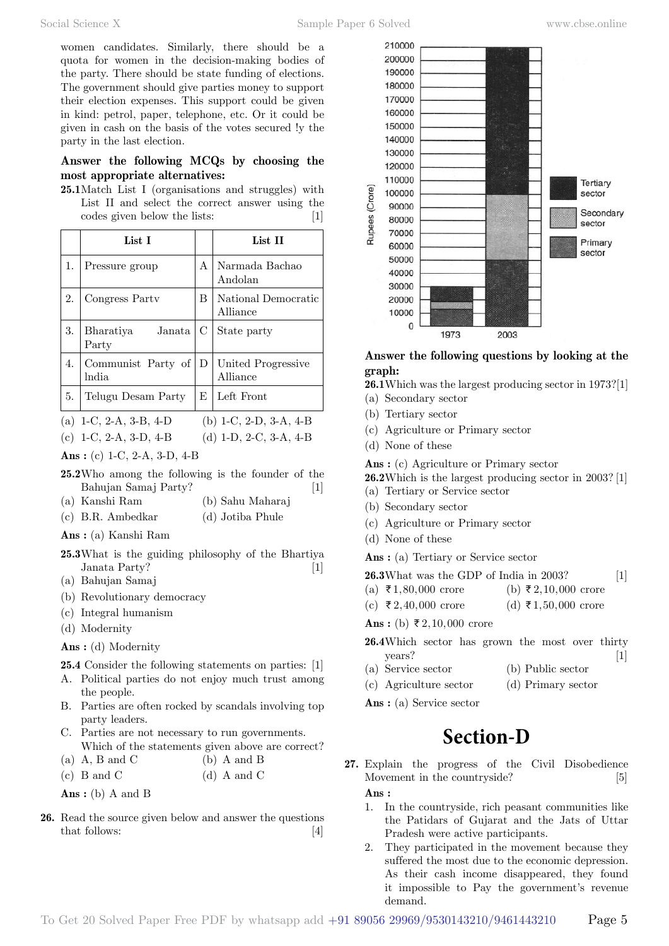# **Answer the following MCQs by choosing the most appropriate alternatives:**

**25.1**Match List I (organisations and struggles) with List II and select the correct answer using the codes given below the lists: [1]

|    | List I                             |   | List II                         |
|----|------------------------------------|---|---------------------------------|
| 1. | Pressure group                     | A | Narmada Bachao<br>Andolan       |
| 2. | Congress Party                     | B | National Democratic<br>Alliance |
| 3. | Bharatiya<br>Janata<br>Party       | С | State party                     |
| 4. | Communist Party of<br><i>India</i> | D | United Progressive<br>Alliance  |
| 5. | Telugu Desam Party                 | E | Left Front                      |

(a) 1-C, 2-A, 3-B, 4-D (b) 1-C, 2-D, 3-A, 4-B (c) 1-C, 2-A, 3-D, 4-B (d) 1-D, 2-C, 3-A, 4-B

 **Ans :** (c) 1-C, 2-A, 3-D, 4-B

- **25.2**Who among the following is the founder of the Bahujan Samaj Party? [1]
- (a) Kanshi Ram (b) Sahu Maharaj
- (c) B.R. Ambedkar (d) Jotiba Phule
- **Ans :** (a) Kanshi Ram
- **25.3**What is the guiding philosophy of the Bhartiya Janata Party? [1]
- (a) Bahujan Samaj
- (b) Revolutionary democracy
- (c) Integral humanism
- (d) Modernity
- **Ans :** (d) Modernity

**25.4** Consider the following statements on parties: [1]

- A. Political parties do not enjoy much trust among the people.
- B. Parties are often rocked by scandals involving top party leaders.
- C. Parties are not necessary to run governments. Which of the statements given above are correct?
- (a)  $A$ ,  $B$  and  $C$  (b)  $A$  and  $B$
- (c) B and C  $\qquad$  (d) A and C

 **Ans :** (b) A and B

**26.** Read the source given below and answer the questions that follows: [4]



# **Answer the following questions by looking at the graph:**

**26.1**Which was the largest producing sector in 1973?[1]

- (a) Secondary sector
- (b) Tertiary sector
- (c) Agriculture or Primary sector
- (d) None of these

 **Ans :** (c) Agriculture or Primary sector

**26.2**Which is the largest producing sector in 2003? [1]

- (a) Tertiary or Service sector
- (b) Secondary sector
- (c) Agriculture or Primary sector
- (d) None of these

 **Ans :** (a) Tertiary or Service sector

| <b>26.3</b> What was the GDP of India in 2003? |  |  |
|------------------------------------------------|--|--|
|------------------------------------------------|--|--|

- (a)  $\overline{\xi}$  1,80,000 crore (b)  $\overline{\xi}$  2,10,000 crore
- (c)  $\bar{\tau}$  2, 40, 000 crore (d)  $\bar{\tau}$  1, 50, 000 crore

**Ans :** (b) ₹2,10,000 crore

- **26.4**Which sector has grown the most over thirty years? [1]
- (a) Service sector (b) Public sector
- (c) Agriculture sector (d) Primary sector

 **Ans :** (a) Service sector

# **Section-D**

- **27.** Explain the progress of the Civil Disobedience Movement in the countryside? [5]  **Ans :**
	- 1. In the countryside, rich peasant communities like the Patidars of Gujarat and the Jats of Uttar Pradesh were active participants.
	- 2. They participated in the movement because they suffered the most due to the economic depression. As their cash income disappeared, they found it impossible to Pay the government's revenue demand.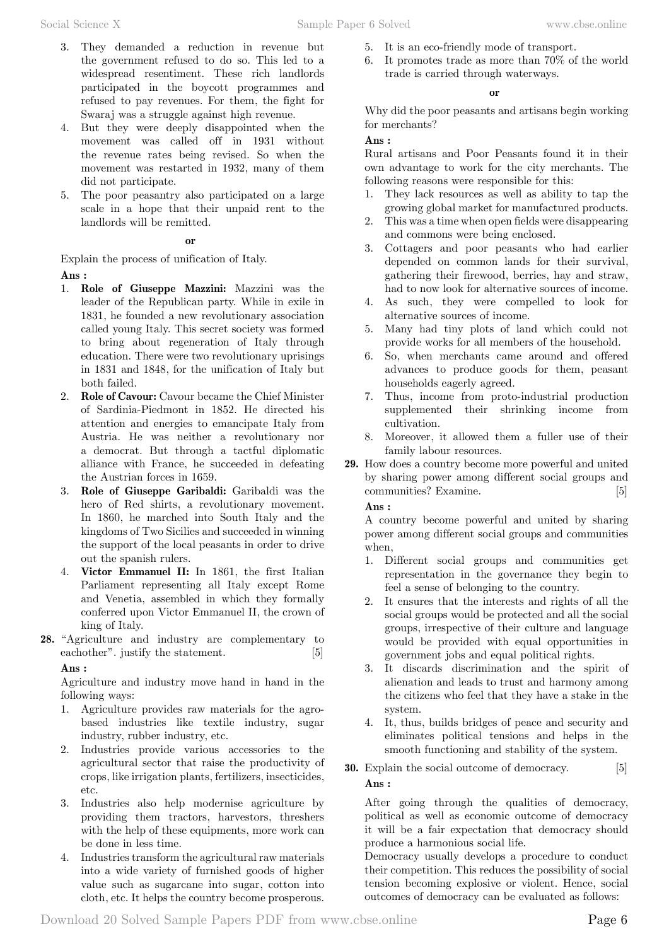- 3. They demanded a reduction in revenue but the government refused to do so. This led to a widespread resentiment. These rich landlords participated in the boycott programmes and refused to pay revenues. For them, the fight for Swaraj was a struggle against high revenue.
- 4. But they were deeply disappointed when the movement was called off in 1931 without the revenue rates being revised. So when the movement was restarted in 1932, many of them did not participate.
- 5. The poor peasantry also participated on a large scale in a hope that their unpaid rent to the landlords will be remitted.

 **o**

Explain the process of unification of Italy.  **Ans :**

- 1. **Role of Giuseppe Mazzini:** Mazzini was the leader of the Republican party. While in exile in 1831, he founded a new revolutionary association called young Italy. This secret society was formed to bring about regeneration of Italy through education. There were two revolutionary uprisings in 1831 and 1848, for the unification of Italy but both failed.
- 2. **Role of Cavour:** Cavour became the Chief Minister of Sardinia-Piedmont in 1852. He directed his attention and energies to emancipate Italy from Austria. He was neither a revolutionary nor a democrat. But through a tactful diplomatic alliance with France, he succeeded in defeating the Austrian forces in 1659.
- 3. **Role of Giuseppe Garibaldi:** Garibaldi was the hero of Red shirts, a revolutionary movement. In 1860, he marched into South Italy and the kingdoms of Two Sicilies and succeeded in winning the support of the local peasants in order to drive out the spanish rulers.
- 4. **Victor Emmanuel II:** In 1861, the first Italian Parliament representing all Italy except Rome and Venetia, assembled in which they formally conferred upon Victor Emmanuel II, the crown of king of Italy.
- **28.** "Agriculture and industry are complementary to eachother". justify the statement. [5]

## **Ans :**

Agriculture and industry move hand in hand in the following ways:

- 1. Agriculture provides raw materials for the agrobased industries like textile industry, sugar industry, rubber industry, etc.
- 2. Industries provide various accessories to the agricultural sector that raise the productivity of crops, like irrigation plants, fertilizers, insecticides, etc.
- 3. Industries also help modernise agriculture by providing them tractors, harvestors, threshers with the help of these equipments, more work can be done in less time.
- 4. Industries transform the agricultural raw materials into a wide variety of furnished goods of higher value such as sugarcane into sugar, cotton into cloth, etc. It helps the country become prosperous.
- 5. It is an eco-friendly mode of transport.
- 6. It promotes trade as more than 70% of the world trade is carried through waterways.

#### **o**

Why did the poor peasants and artisans begin working for merchants?

### **Ans :**

Rural artisans and Poor Peasants found it in their own advantage to work for the city merchants. The following reasons were responsible for this:

- 1. They lack resources as well as ability to tap the growing global market for manufactured products.
- 2. This was a time when open fields were disappearing and commons were being enclosed.
- 3. Cottagers and poor peasants who had earlier depended on common lands for their survival, gathering their firewood, berries, hay and straw, had to now look for alternative sources of income.
- 4. As such, they were compelled to look for alternative sources of income.
- 5. Many had tiny plots of land which could not provide works for all members of the household.
- 6. So, when merchants came around and offered advances to produce goods for them, peasant households eagerly agreed.
- 7. Thus, income from proto-industrial production supplemented their shrinking income from cultivation.
- 8. Moreover, it allowed them a fuller use of their family labour resources.
- **29.** How does a country become more powerful and united by sharing power among different social groups and communities? Examine. [5]

### **Ans :**

A country become powerful and united by sharing power among different social groups and communities when,

- 1. Different social groups and communities get representation in the governance they begin to feel a sense of belonging to the country.
- 2. It ensures that the interests and rights of all the social groups would be protected and all the social groups, irrespective of their culture and language would be provided with equal opportunities in government jobs and equal political rights.
- 3. It discards discrimination and the spirit of alienation and leads to trust and harmony among the citizens who feel that they have a stake in the system.
- 4. It, thus, builds bridges of peace and security and eliminates political tensions and helps in the smooth functioning and stability of the system.
- **30.** Explain the social outcome of democracy. [5]  **Ans :**

After going through the qualities of democracy, political as well as economic outcome of democracy it will be a fair expectation that democracy should produce a harmonious social life.

Democracy usually develops a procedure to conduct their competition. This reduces the possibility of social tension becoming explosive or violent. Hence, social outcomes of democracy can be evaluated as follows: